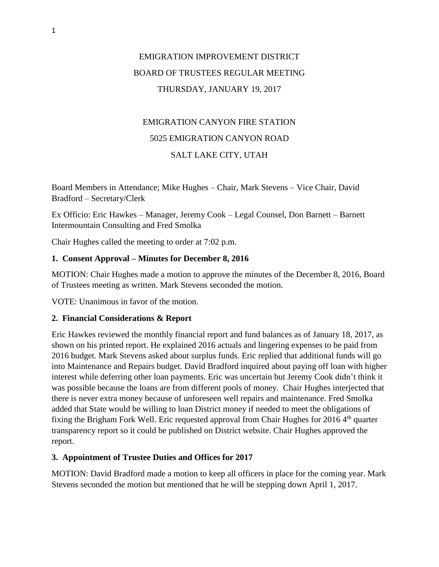# EMIGRATION IMPROVEMENT DISTRICT BOARD OF TRUSTEES REGULAR MEETING THURSDAY, JANUARY 19, 2017

# EMIGRATION CANYON FIRE STATION 5025 EMIGRATION CANYON ROAD SALT LAKE CITY, UTAH

Board Members in Attendance; Mike Hughes – Chair, Mark Stevens – Vice Chair, David Bradford – Secretary/Clerk

Ex Officio: Eric Hawkes – Manager, Jeremy Cook – Legal Counsel, Don Barnett – Barnett Intermountain Consulting and Fred Smolka

Chair Hughes called the meeting to order at 7:02 p.m.

## **1. Consent Approval – Minutes for December 8, 2016**

MOTION: Chair Hughes made a motion to approve the minutes of the December 8, 2016, Board of Trustees meeting as written. Mark Stevens seconded the motion.

VOTE: Unanimous in favor of the motion.

## **2. Financial Considerations & Report**

Eric Hawkes reviewed the monthly financial report and fund balances as of January 18, 2017, as shown on his printed report. He explained 2016 actuals and lingering expenses to be paid from 2016 budget. Mark Stevens asked about surplus funds. Eric replied that additional funds will go into Maintenance and Repairs budget. David Bradford inquired about paying off loan with higher interest while deferring other loan payments. Eric was uncertain but Jeremy Cook didn't think it was possible because the loans are from different pools of money. Chair Hughes interjected that there is never extra money because of unforeseen well repairs and maintenance. Fred Smolka added that State would be willing to loan District money if needed to meet the obligations of fixing the Brigham Fork Well. Eric requested approval from Chair Hughes for 2016  $4<sup>th</sup>$  quarter transparency report so it could be published on District website. Chair Hughes approved the report.

## **3. Appointment of Trustee Duties and Offices for 2017**

MOTION: David Bradford made a motion to keep all officers in place for the coming year. Mark Stevens seconded the motion but mentioned that he will be stepping down April 1, 2017.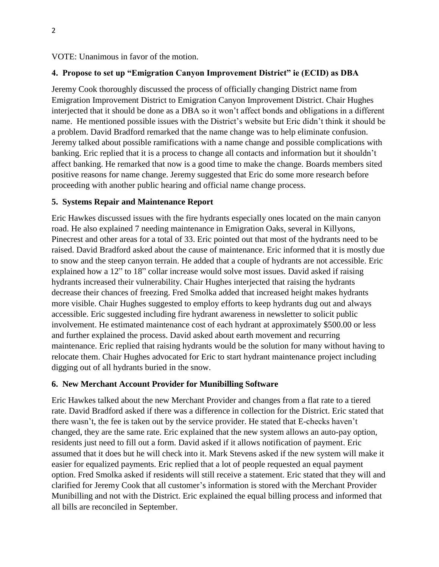### VOTE: Unanimous in favor of the motion.

### **4. Propose to set up "Emigration Canyon Improvement District" ie (ECID) as DBA**

Jeremy Cook thoroughly discussed the process of officially changing District name from Emigration Improvement District to Emigration Canyon Improvement District. Chair Hughes interjected that it should be done as a DBA so it won't affect bonds and obligations in a different name. He mentioned possible issues with the District's website but Eric didn't think it should be a problem. David Bradford remarked that the name change was to help eliminate confusion. Jeremy talked about possible ramifications with a name change and possible complications with banking. Eric replied that it is a process to change all contacts and information but it shouldn't affect banking. He remarked that now is a good time to make the change. Boards members sited positive reasons for name change. Jeremy suggested that Eric do some more research before proceeding with another public hearing and official name change process.

#### **5. Systems Repair and Maintenance Report**

Eric Hawkes discussed issues with the fire hydrants especially ones located on the main canyon road. He also explained 7 needing maintenance in Emigration Oaks, several in Killyons, Pinecrest and other areas for a total of 33. Eric pointed out that most of the hydrants need to be raised. David Bradford asked about the cause of maintenance. Eric informed that it is mostly due to snow and the steep canyon terrain. He added that a couple of hydrants are not accessible. Eric explained how a 12" to 18" collar increase would solve most issues. David asked if raising hydrants increased their vulnerability. Chair Hughes interjected that raising the hydrants decrease their chances of freezing. Fred Smolka added that increased height makes hydrants more visible. Chair Hughes suggested to employ efforts to keep hydrants dug out and always accessible. Eric suggested including fire hydrant awareness in newsletter to solicit public involvement. He estimated maintenance cost of each hydrant at approximately \$500.00 or less and further explained the process. David asked about earth movement and recurring maintenance. Eric replied that raising hydrants would be the solution for many without having to relocate them. Chair Hughes advocated for Eric to start hydrant maintenance project including digging out of all hydrants buried in the snow.

#### **6. New Merchant Account Provider for Munibilling Software**

Eric Hawkes talked about the new Merchant Provider and changes from a flat rate to a tiered rate. David Bradford asked if there was a difference in collection for the District. Eric stated that there wasn't, the fee is taken out by the service provider. He stated that E-checks haven't changed, they are the same rate. Eric explained that the new system allows an auto-pay option, residents just need to fill out a form. David asked if it allows notification of payment. Eric assumed that it does but he will check into it. Mark Stevens asked if the new system will make it easier for equalized payments. Eric replied that a lot of people requested an equal payment option. Fred Smolka asked if residents will still receive a statement. Eric stated that they will and clarified for Jeremy Cook that all customer's information is stored with the Merchant Provider Munibilling and not with the District. Eric explained the equal billing process and informed that all bills are reconciled in September.